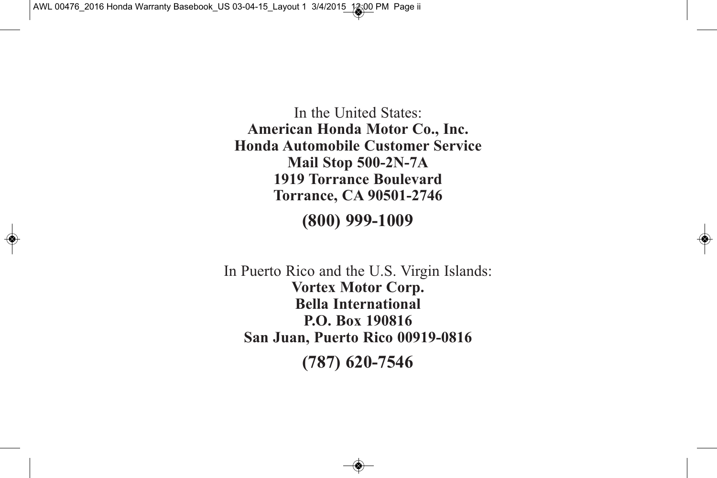In the United States: **American Honda Motor Co., Inc. Honda Automobile Customer Service Mail Stop 500-2N-7A 1919 Torrance Boulevard Torrance, CA 90501-2746**

**(800) 999-1009**

In Puerto Rico and the U.S. Virgin Islands: **Vortex Motor Corp. Bella International P.O. Box 190816 San Juan, Puerto Rico 00919-0816 (787) 620-7546**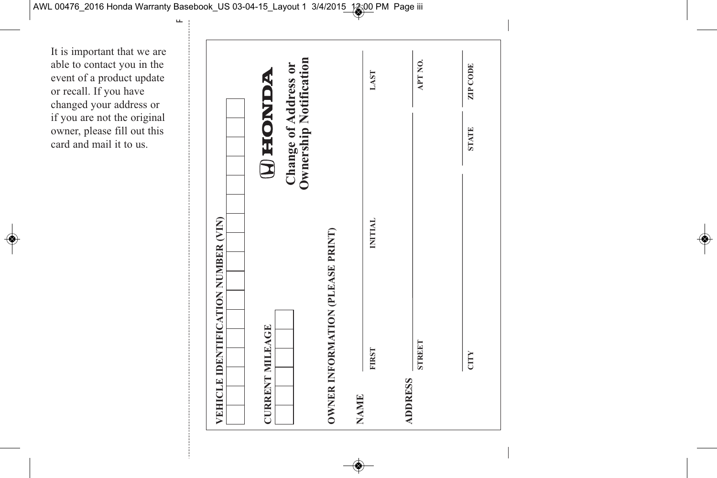It is important that we are able to contact you in the event of a product update or recall. If you have changed your address or if you are not the original owner, please fill out this card and mail it to us.

|                        | VEHICLE IDENTIFICATION NUMBER (VIN) |                |                                                                         |                 |
|------------------------|-------------------------------------|----------------|-------------------------------------------------------------------------|-----------------|
| <b>CURRENT MILEAGE</b> |                                     |                | <b>Ownership Notification</b><br>Change of Address or<br><b>WANOHIO</b> |                 |
|                        | OWNER INFORMATION (PLEASE PRINT)    |                |                                                                         |                 |
| <b>NAME</b>            | <b>FIRST</b>                        | <b>INITIAL</b> |                                                                         | LAST            |
| <b>ADDRESS</b>         | <b>STREET</b>                       |                |                                                                         | APT NO.         |
|                        | CITY                                |                | <b>STATE</b>                                                            | <b>ZIP CODE</b> |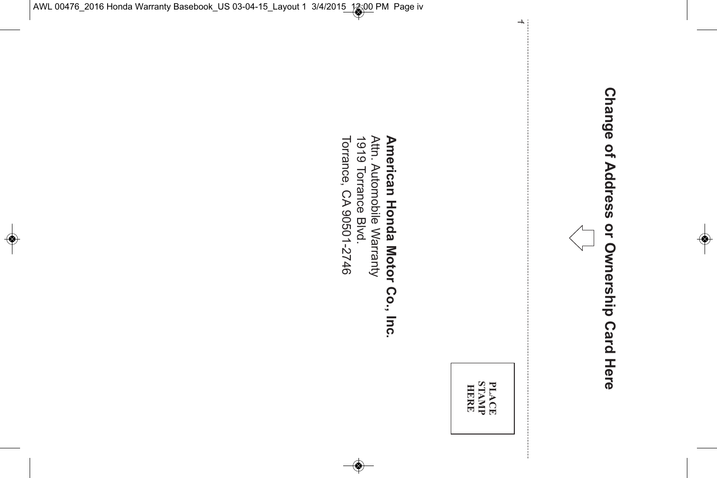# **Change** <u>ዒ</u> **Address or Ownership Card** Here<br>G



**PLACE STAMP HERE**

# **American Honda Motor Co., Inc.** Attn. Automobile Warranty

1919 Torrance Blvd. Torrance,  $\Im$ 90501-2746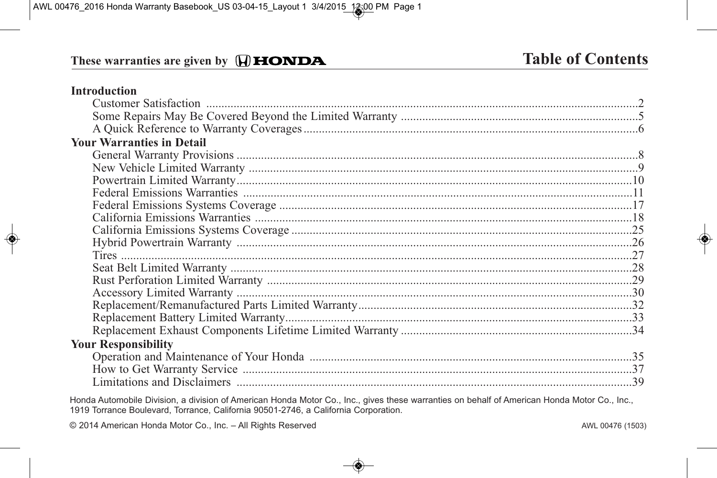# These warranties are given by  $\bigoplus$  **HONDA**

#### **Introduction**

| <b>Your Warranties in Detail</b>                                                                                    |  |
|---------------------------------------------------------------------------------------------------------------------|--|
|                                                                                                                     |  |
|                                                                                                                     |  |
|                                                                                                                     |  |
|                                                                                                                     |  |
|                                                                                                                     |  |
|                                                                                                                     |  |
|                                                                                                                     |  |
|                                                                                                                     |  |
|                                                                                                                     |  |
|                                                                                                                     |  |
|                                                                                                                     |  |
|                                                                                                                     |  |
|                                                                                                                     |  |
|                                                                                                                     |  |
|                                                                                                                     |  |
| <b>Your Responsibility</b>                                                                                          |  |
|                                                                                                                     |  |
|                                                                                                                     |  |
|                                                                                                                     |  |
| and a second company of the second contract of the second contract of the second contract of the second contract of |  |

Honda Automobile Division, a division of American Honda Motor Co., Inc., gives these warranties on behalf of American Honda Motor Co., Inc., 1919 Torrance Boulevard, Torrance, California 90501-2746, a California Corporation.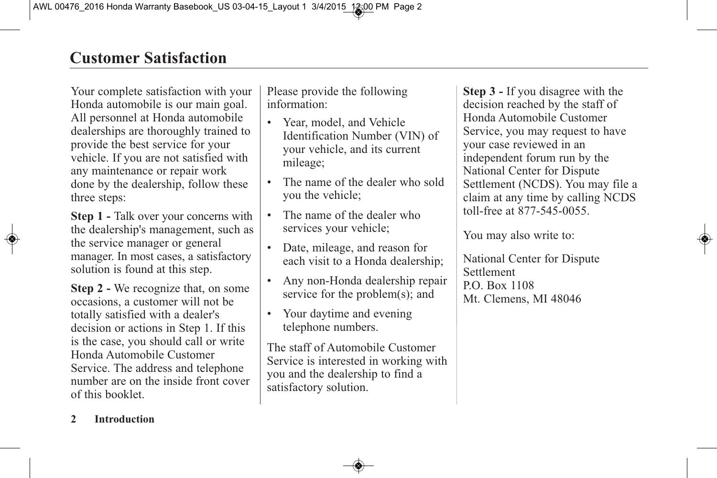Your complete satisfaction with your Honda automobile is our main goal. All personnel at Honda automobile dealerships are thoroughly trained to provide the best service for your vehicle. If you are not satisfied with any maintenance or repair work done by the dealership, follow these three steps:

**Step 1 -** Talk over your concerns with the dealership's management, such as the service manager or general manager. In most cases, a satisfactory solution is found at this step.

**Step 2 -** We recognize that, on some occasions, a customer will not be totally satisfied with a dealer's decision or actions in Step 1. If this is the case, you should call or write Honda Automobile Customer Service. The address and telephone number are on the inside front cover of this booklet.

Please provide the following information:

- Year, model, and Vehicle Identification Number (VIN) of your vehicle, and its current mileage;
- The name of the dealer who sold you the vehicle;
- The name of the dealer who services your vehicle;
- Date, mileage, and reason for each visit to a Honda dealership;
- Any non-Honda dealership repair service for the problem(s); and
- Your daytime and evening telephone numbers.

The staff of Automobile Customer Service is interested in working with you and the dealership to find a satisfactory solution.

**Step 3 -** If you disagree with the decision reached by the staff of Honda Automobile Customer Service, you may request to have your case reviewed in an independent forum run by the National Center for Dispute Settlement (NCDS). You may file a claim at any time by calling NCDS toll-free at 877-545-0055.

You may also write to:

National Center for Dispute Settlement P.O. Box 1108 Mt. Clemens, MI 48046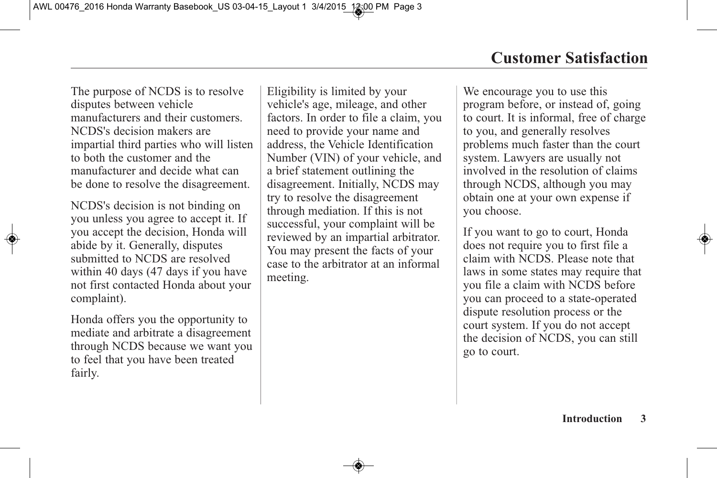The purpose of NCDS is to resolve disputes between vehicle manufacturers and their customers. NCDS's decision makers are impartial third parties who will listen to both the customer and the manufacturer and decide what can be done to resolve the disagreement.

NCDS's decision is not binding on you unless you agree to accept it. If you accept the decision, Honda will abide by it. Generally, disputes submitted to NCDS are resolved within 40 days (47 days if you have not first contacted Honda about your complaint).

Honda offers you the opportunity to mediate and arbitrate a disagreement through NCDS because we want you to feel that you have been treated fairly.

Eligibility is limited by your vehicle's age, mileage, and other factors. In order to file a claim, you need to provide your name and address, the Vehicle Identification Number (VIN) of your vehicle, and a brief statement outlining the disagreement. Initially, NCDS may try to resolve the disagreement through mediation. If this is not successful, your complaint will be reviewed by an impartial arbitrator. You may present the facts of your case to the arbitrator at an informal meeting.

We encourage you to use this program before, or instead of, going to court. It is informal, free of charge to you, and generally resolves problems much faster than the court system. Lawyers are usually not involved in the resolution of claims through NCDS, although you may obtain one at your own expense if you choose.

If you want to go to court, Honda does not require you to first file a claim with NCDS. Please note that laws in some states may require that you file a claim with NCDS before you can proceed to a state-operated dispute resolution process or the court system. If you do not accept the decision of NCDS, you can still go to court.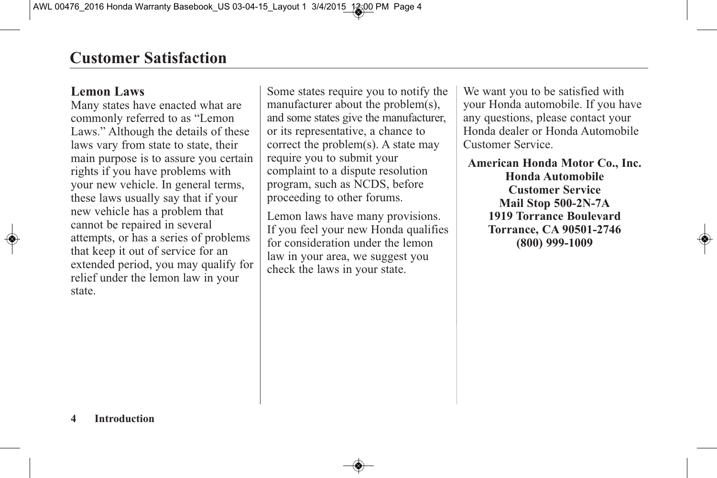# **Lemon Laws**

Many states have enacted what are commonly referred to as "Lemon Laws." Although the details of these laws vary from state to state, their main purpose is to assure you certain rights if you have problems with your new vehicle. In general terms, these laws usually say that if your new vehicle has a problem that cannot be repaired in several attempts, or has a series of problems that keep it out of service for an extended period, you may qualify for relief under the lemon law in your state.

Some states require you to notify the manufacturer about the problem(s), and some states give the manufacturer, or its representative, a chance to correct the problem(s). A state may require you to submit your complaint to a dispute resolution program, such as NCDS, before proceeding to other forums.

Lemon laws have many provisions. If you feel your new Honda qualifies for consideration under the lemon law in your area, we suggest you check the laws in your state.

We want you to be satisfied with your Honda automobile. If you have any questions, please contact your Honda dealer or Honda Automobile Customer Service.

**American Honda Motor Co., Inc. Honda Automobile Customer Service Mail Stop 500-2N-7A 1919 Torrance Boulevard Torrance, CA 90501-2746 (800) 999-1009**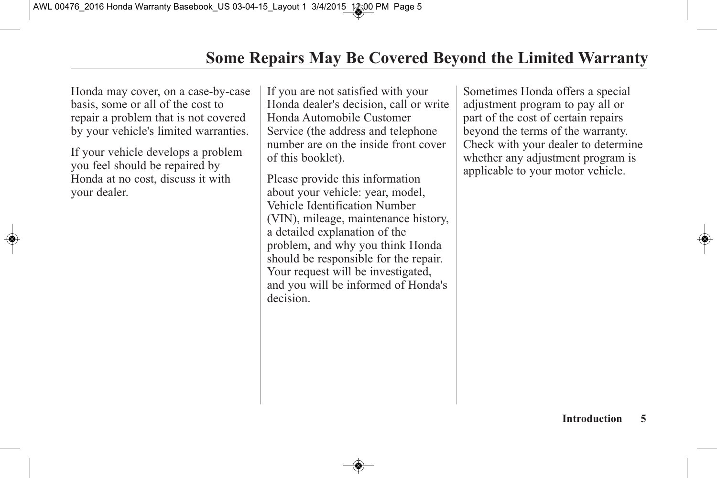Honda may cover, on a case-by-case basis, some or all of the cost to repair a problem that is not covered by your vehicle's limited warranties.

If your vehicle develops a problem you feel should be repaired by Honda at no cost, discuss it with your dealer.

If you are not satisfied with your Honda dealer's decision, call or write Honda Automobile Customer Service (the address and telephone number are on the inside front cover of this booklet).

Please provide this information about your vehicle: year, model, Vehicle Identification Number (VIN), mileage, maintenance history, a detailed explanation of the problem, and why you think Honda should be responsible for the repair. Your request will be investigated, and you will be informed of Honda's decision.

Sometimes Honda offers a special adjustment program to pay all or part of the cost of certain repairs beyond the terms of the warranty. Check with your dealer to determine whether any adjustment program is applicable to your motor vehicle.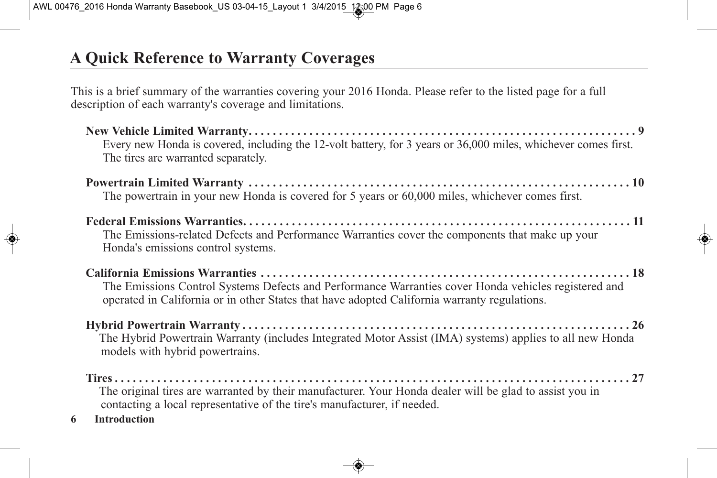# **A Quick Reference to Warranty Coverages**

This is a brief summary of the warranties covering your 2016 Honda. Please refer to the listed page for a full description of each warranty's coverage and limitations.

| Every new Honda is covered, including the 12-volt battery, for 3 years or 36,000 miles, whichever comes first.<br>The tires are warranted separately.                                                |
|------------------------------------------------------------------------------------------------------------------------------------------------------------------------------------------------------|
| The powertrain in your new Honda is covered for 5 years or 60,000 miles, whichever comes first.                                                                                                      |
| The Emissions-related Defects and Performance Warranties cover the components that make up your<br>Honda's emissions control systems.                                                                |
| The Emissions Control Systems Defects and Performance Warranties cover Honda vehicles registered and<br>operated in California or in other States that have adopted California warranty regulations. |
| The Hybrid Powertrain Warranty (includes Integrated Motor Assist (IMA) systems) applies to all new Honda<br>models with hybrid powertrains.                                                          |
| The original tires are warranted by their manufacturer. Your Honda dealer will be glad to assist you in<br>contacting a local representative of the tire's manufacturer, if needed.                  |

**6 Introduction**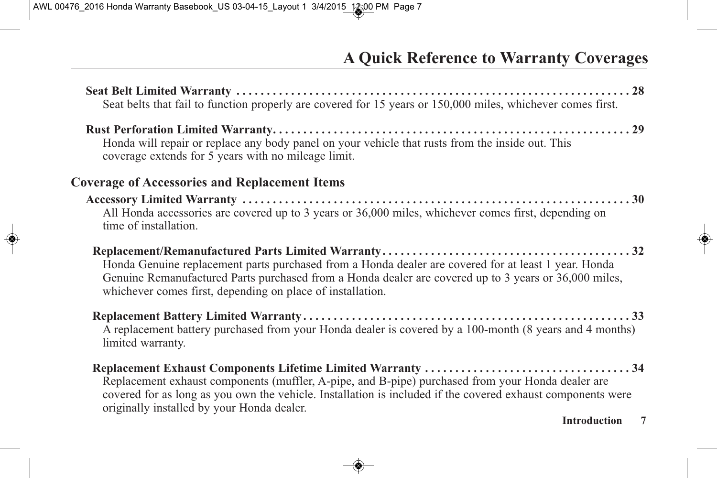| Seat belts that fail to function properly are covered for 15 years or 150,000 miles, whichever comes first.                                                                                                                                                                 |  |
|-----------------------------------------------------------------------------------------------------------------------------------------------------------------------------------------------------------------------------------------------------------------------------|--|
| Honda will repair or replace any body panel on your vehicle that rusts from the inside out. This<br>coverage extends for 5 years with no mileage limit.                                                                                                                     |  |
| <b>Coverage of Accessories and Replacement Items</b>                                                                                                                                                                                                                        |  |
| All Honda accessories are covered up to 3 years or 36,000 miles, whichever comes first, depending on<br>time of installation.                                                                                                                                               |  |
| Honda Genuine replacement parts purchased from a Honda dealer are covered for at least 1 year. Honda<br>Genuine Remanufactured Parts purchased from a Honda dealer are covered up to 3 years or 36,000 miles,<br>whichever comes first, depending on place of installation. |  |
| A replacement battery purchased from your Honda dealer is covered by a 100-month (8 years and 4 months)<br>limited warranty.                                                                                                                                                |  |
| Replacement exhaust components (muffler, A-pipe, and B-pipe) purchased from your Honda dealer are<br>covered for as long as you own the vehicle. Installation is included if the covered exhaust components were<br>originally installed by your Honda dealer.              |  |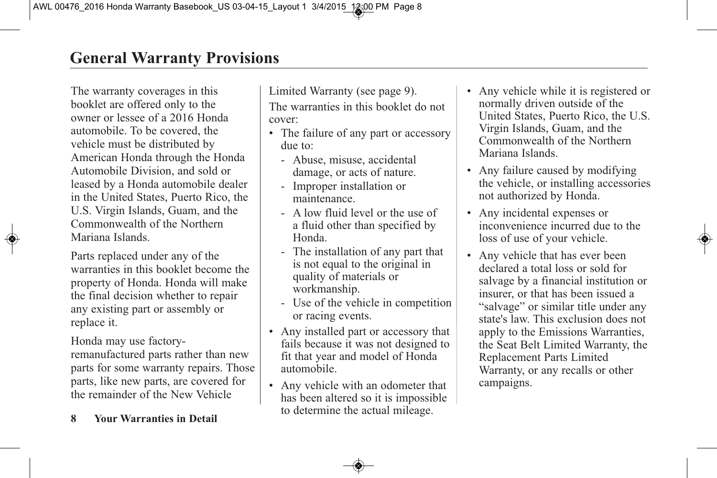The warranty coverages in this booklet are offered only to the owner or lessee of a 2016 Honda automobile. To be covered, the vehicle must be distributed by American Honda through the Honda Automobile Division, and sold or leased by a Honda automobile dealer in the United States, Puerto Rico, the U.S. Virgin Islands, Guam, and the Commonwealth of the Northern Mariana Islands.

Parts replaced under any of the warranties in this booklet become the property of Honda. Honda will make the final decision whether to repair any existing part or assembly or replace it.

Honda may use factoryremanufactured parts rather than new parts for some warranty repairs. Those parts, like new parts, are covered for the remainder of the New Vehicle

#### **8 Your Warranties in Detail**

Limited Warranty (see page 9). The warranties in this booklet do not cover:

- The failure of any part or accessory due to:
	- Abuse, misuse, accidental damage, or acts of nature.
	- Improper installation or maintenance.
	- A low fluid level or the use of a fluid other than specified by Honda.
	- The installation of any part that is not equal to the original in quality of materials or workmanship.
	- Use of the vehicle in competition or racing events.
- Any installed part or accessory that fails because it was not designed to fit that year and model of Honda automobile.
- Any vehicle with an odometer that has been altered so it is impossible to determine the actual mileage.
- Any vehicle while it is registered or normally driven outside of the United States, Puerto Rico, the U.S. Virgin Islands, Guam, and the Commonwealth of the Northern Mariana Islands.
- Any failure caused by modifying the vehicle, or installing accessories not authorized by Honda.
- Any incidental expenses or inconvenience incurred due to the loss of use of your vehicle.
- Any vehicle that has ever been declared a total loss or sold for salvage by a financial institution or insurer, or that has been issued a "salvage" or similar title under any state's law. This exclusion does not apply to the Emissions Warranties, the Seat Belt Limited Warranty, the Replacement Parts Limited Warranty, or any recalls or other campaigns.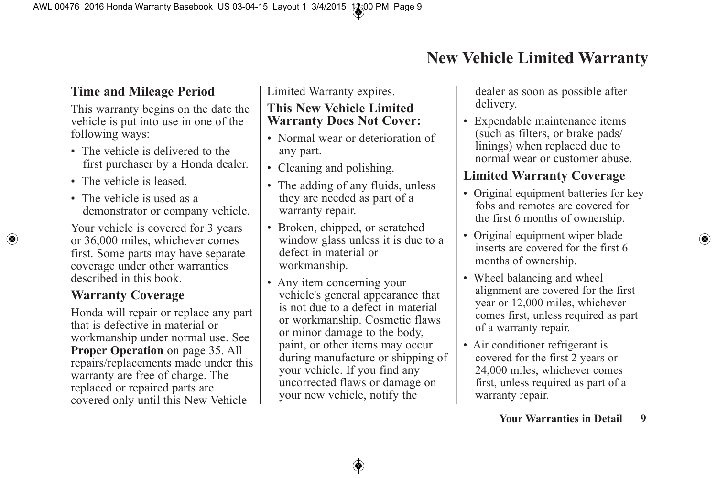# **Time and Mileage Period**

This warranty begins on the date the vehicle is put into use in one of the following ways:

- The vehicle is delivered to the first purchaser by a Honda dealer.
- The vehicle is leased.
- The vehicle is used as a demonstrator or company vehicle.

Your vehicle is covered for 3 years or 36,000 miles, whichever comes first. Some parts may have separate coverage under other warranties described in this book.

# **Warranty Coverage**

Honda will repair or replace any part that is defective in material or workmanship under normal use. See **Proper Operation** on page 35. All repairs/replacements made under this warranty are free of charge. The replaced or repaired parts are covered only until this New Vehicle

Limited Warranty expires.

#### **This New Vehicle Limited Warranty Does Not Cover:**

- Normal wear or deterioration of any part.
- Cleaning and polishing.
- The adding of any fluids, unless they are needed as part of a warranty repair.
- Broken, chipped, or scratched window glass unless it is due to a defect in material or workmanship.
- Any item concerning your vehicle's general appearance that is not due to a defect in material or workmanship. Cosmetic flaws or minor damage to the body, paint, or other items may occur during manufacture or shipping of your vehicle. If you find any uncorrected flaws or damage on your new vehicle, notify the

dealer as soon as possible after delivery.

• Expendable maintenance items (such as filters, or brake pads/ linings) when replaced due to normal wear or customer abuse.

# **Limited Warranty Coverage**

- Original equipment batteries for key fobs and remotes are covered for the first 6 months of ownership.
- Original equipment wiper blade inserts are covered for the first 6 months of ownership.
- Wheel balancing and wheel alignment are covered for the first year or 12,000 miles, whichever comes first, unless required as part of a warranty repair.
- Air conditioner refrigerant is covered for the first 2 years or 24,000 miles, whichever comes first, unless required as part of a warranty repair.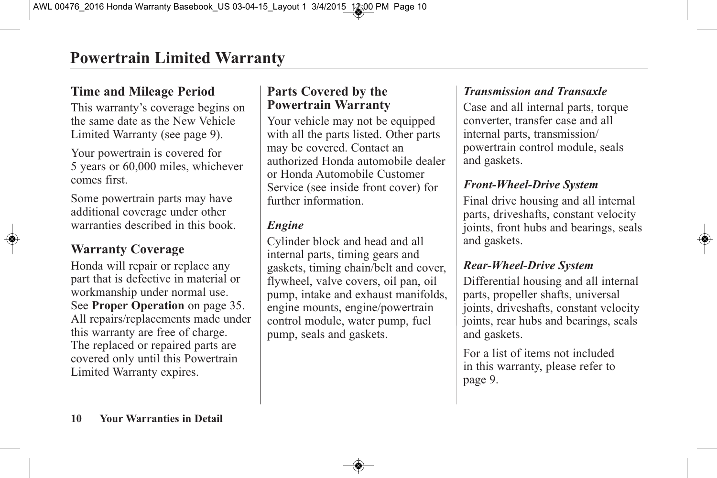# **Time and Mileage Period**

This warranty's coverage begins on the same date as the New Vehicle Limited Warranty (see page 9).

Your powertrain is covered for 5 years or 60,000 miles, whichever comes first.

Some powertrain parts may have additional coverage under other warranties described in this book.

# **Warranty Coverage**

Honda will repair or replace any part that is defective in material or workmanship under normal use. See **Proper Operation** on page 35. All repairs/replacements made under this warranty are free of charge. The replaced or repaired parts are covered only until this Powertrain Limited Warranty expires.

# **Parts Covered by the Powertrain Warranty**

Your vehicle may not be equipped with all the parts listed. Other parts may be covered. Contact an authorized Honda automobile dealer or Honda Automobile Customer Service (see inside front cover) for further information.

### *Engine*

Cylinder block and head and all internal parts, timing gears and gaskets, timing chain/belt and cover, flywheel, valve covers, oil pan, oil pump, intake and exhaust manifolds, engine mounts, engine/powertrain control module, water pump, fuel pump, seals and gaskets.

# *Transmission and Transaxle*

Case and all internal parts, torque converter, transfer case and all internal parts, transmission/ powertrain control module, seals and gaskets.

# *Front-Wheel-Drive System*

Final drive housing and all internal parts, driveshafts, constant velocity joints, front hubs and bearings, seals and gaskets.

#### *Rear-Wheel-Drive System*

Differential housing and all internal parts, propeller shafts, universal joints, driveshafts, constant velocity joints, rear hubs and bearings, seals and gaskets.

For a list of items not included in this warranty, please refer to page 9.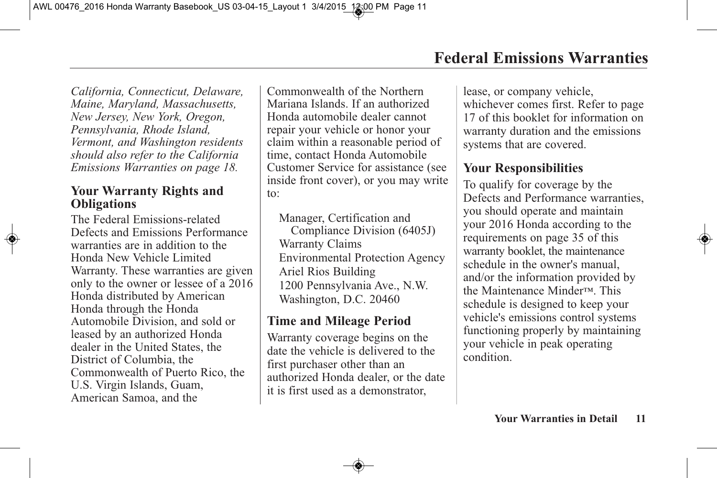*California, Connecticut, Delaware, Maine, Maryland, Massachusetts, New Jersey, New York, Oregon, Pennsylvania, Rhode Island, Vermont, and Washington residents should also refer to the California Emissions Warranties on page 18.*

#### **Your Warranty Rights and Obligations**

The Federal Emissions-related Defects and Emissions Performance warranties are in addition to the Honda New Vehicle Limited Warranty. These warranties are given only to the owner or lessee of a 2016 Honda distributed by American Honda through the Honda Automobile Division, and sold or leased by an authorized Honda dealer in the United States, the District of Columbia, the Commonwealth of Puerto Rico, the U.S. Virgin Islands, Guam, American Samoa, and the

Commonwealth of the Northern Mariana Islands. If an authorized Honda automobile dealer cannot repair your vehicle or honor your claim within a reasonable period of time, contact Honda Automobile Customer Service for assistance (see inside front cover), or you may write to:

Manager, Certification and Compliance Division (6405J) Warranty Claims Environmental Protection Agency Ariel Rios Building 1200 Pennsylvania Ave., N.W. Washington, D.C. 20460

# **Time and Mileage Period**

Warranty coverage begins on the date the vehicle is delivered to the first purchaser other than an authorized Honda dealer, or the date it is first used as a demonstrator,

lease, or company vehicle, whichever comes first. Refer to page 17 of this booklet for information on warranty duration and the emissions systems that are covered.

# **Your Responsibilities**

To qualify for coverage by the Defects and Performance warranties, you should operate and maintain your 2016 Honda according to the requirements on page 35 of this warranty booklet, the maintenance schedule in the owner's manual, and/or the information provided by the Maintenance Minder™. This schedule is designed to keep your vehicle's emissions control systems functioning properly by maintaining your vehicle in peak operating condition.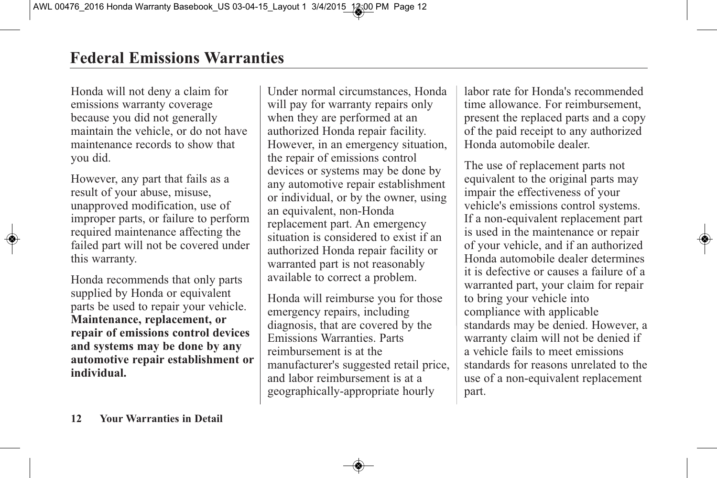Honda will not deny a claim for emissions warranty coverage because you did not generally maintain the vehicle, or do not have maintenance records to show that you did.

However, any part that fails as a result of your abuse, misuse, unapproved modification, use of improper parts, or failure to perform required maintenance affecting the failed part will not be covered under this warranty.

Honda recommends that only parts supplied by Honda or equivalent parts be used to repair your vehicle. **Maintenance, replacement, or repair of emissions control devices and systems may be done by any automotive repair establishment or individual.**

Under normal circumstances, Honda will pay for warranty repairs only when they are performed at an authorized Honda repair facility. However, in an emergency situation, the repair of emissions control devices or systems may be done by any automotive repair establishment or individual, or by the owner, using an equivalent, non-Honda replacement part. An emergency situation is considered to exist if an authorized Honda repair facility or warranted part is not reasonably available to correct a problem.

Honda will reimburse you for those emergency repairs, including diagnosis, that are covered by the Emissions Warranties. Parts reimbursement is at the manufacturer's suggested retail price, and labor reimbursement is at a geographically-appropriate hourly

labor rate for Honda's recommended time allowance. For reimbursement, present the replaced parts and a copy of the paid receipt to any authorized Honda automobile dealer.

The use of replacement parts not equivalent to the original parts may impair the effectiveness of your vehicle's emissions control systems. If a non-equivalent replacement part is used in the maintenance or repair of your vehicle, and if an authorized Honda automobile dealer determines it is defective or causes a failure of a warranted part, your claim for repair to bring your vehicle into compliance with applicable standards may be denied. However, a warranty claim will not be denied if a vehicle fails to meet emissions standards for reasons unrelated to the use of a non-equivalent replacement part.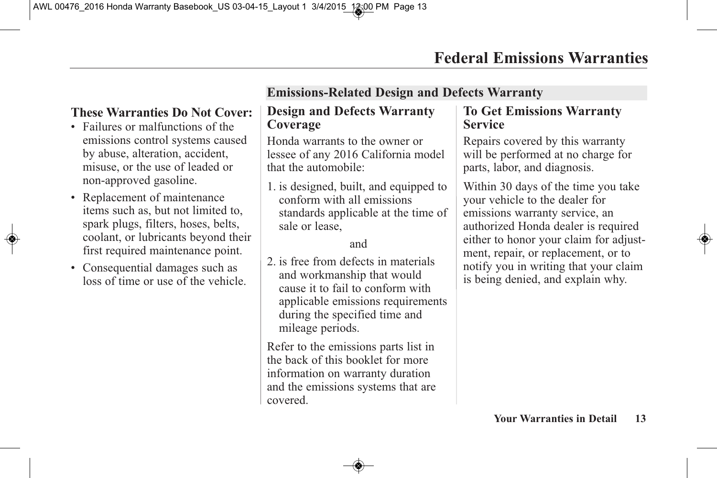# **These Warranties Do Not Cover:**

- Failures or malfunctions of the emissions control systems caused by abuse, alteration, accident, misuse, or the use of leaded or non-approved gasoline.
- Replacement of maintenance items such as, but not limited to, spark plugs, filters, hoses, belts, coolant, or lubricants beyond their first required maintenance point.
- Consequential damages such as loss of time or use of the vehicle.

# **Emissions-Related Design and Defects Warranty**

#### **Design and Defects Warranty Coverage**

Honda warrants to the owner or lessee of any 2016 California model that the automobile:

1. is designed, built, and equipped to conform with all emissions standards applicable at the time of sale or lease,

#### and

2. is free from defects in materials and workmanship that would cause it to fail to conform with applicable emissions requirements during the specified time and mileage periods.

Refer to the emissions parts list in the back of this booklet for more information on warranty duration and the emissions systems that are covered.

#### **To Get Emissions Warranty Service**

Repairs covered by this warranty will be performed at no charge for parts, labor, and diagnosis.

Within 30 days of the time you take your vehicle to the dealer for emissions warranty service, an authorized Honda dealer is required either to honor your claim for adjustment, repair, or replacement, or to notify you in writing that your claim is being denied, and explain why.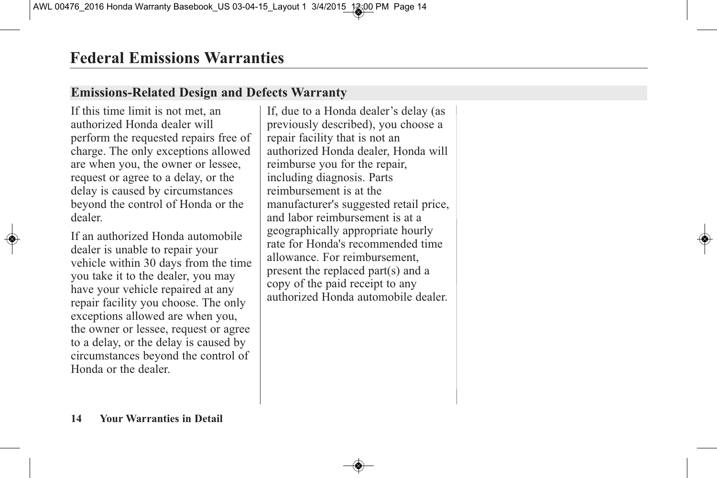# **Emissions-Related Design and Defects Warranty**

If this time limit is not met, an authorized Honda dealer will perform the requested repairs free of charge. The only exceptions allowed are when you, the owner or lessee, request or agree to a delay, or the delay is caused by circumstances beyond the control of Honda or the dealer.

If an authorized Honda automobile dealer is unable to repair your vehicle within 30 days from the time you take it to the dealer, you may have your vehicle repaired at any repair facility you choose. The only exceptions allowed are when you, the owner or lessee, request or agree to a delay, or the delay is caused by circumstances beyond the control of Honda or the dealer.

If, due to a Honda dealer's delay (as previously described), you choose a repair facility that is not an authorized Honda dealer, Honda will reimburse you for the repair, including diagnosis. Parts reimbursement is at the manufacturer's suggested retail price, and labor reimbursement is at a geographically appropriate hourly rate for Honda's recommended time allowance. For reimbursement, present the replaced part(s) and a copy of the paid receipt to any authorized Honda automobile dealer.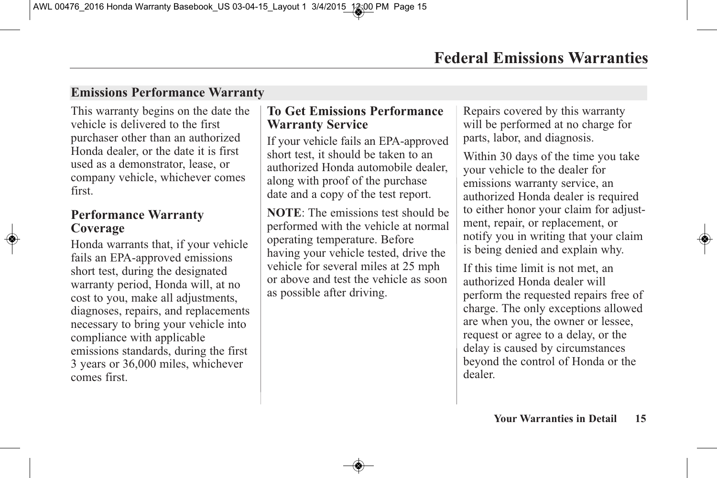### **Emissions Performance Warranty**

This warranty begins on the date the vehicle is delivered to the first purchaser other than an authorized Honda dealer, or the date it is first used as a demonstrator, lease, or company vehicle, whichever comes first.

#### **Performance Warranty Coverage**

Honda warrants that, if your vehicle fails an EPA-approved emissions short test, during the designated warranty period, Honda will, at no cost to you, make all adjustments, diagnoses, repairs, and replacements necessary to bring your vehicle into compliance with applicable emissions standards, during the first 3 years or 36,000 miles, whichever comes first.

#### **To Get Emissions Performance Warranty Service**

If your vehicle fails an EPA-approved short test, it should be taken to an authorized Honda automobile dealer, along with proof of the purchase date and a copy of the test report.

**NOTE**: The emissions test should be performed with the vehicle at normal operating temperature. Before having your vehicle tested, drive the vehicle for several miles at 25 mph or above and test the vehicle as soon as possible after driving.

Repairs covered by this warranty will be performed at no charge for parts, labor, and diagnosis.

Within 30 days of the time you take your vehicle to the dealer for emissions warranty service, an authorized Honda dealer is required to either honor your claim for adjustment, repair, or replacement, or notify you in writing that your claim is being denied and explain why.

If this time limit is not met, an authorized Honda dealer will perform the requested repairs free of charge. The only exceptions allowed are when you, the owner or lessee, request or agree to a delay, or the delay is caused by circumstances beyond the control of Honda or the dealer.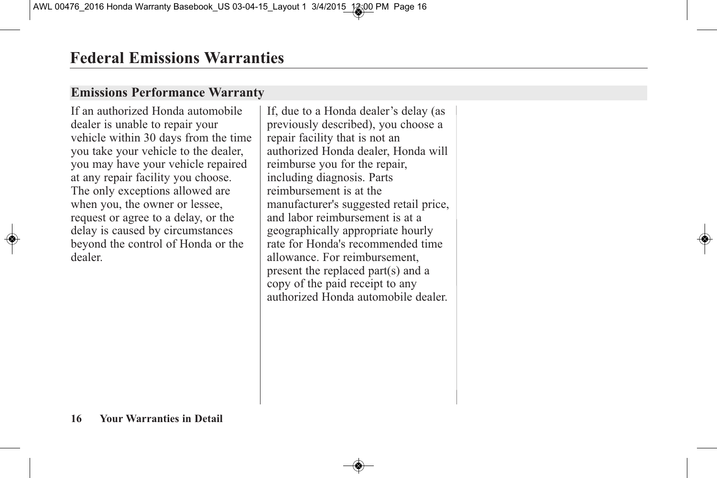# **Emissions Performance Warranty**

If an authorized Honda automobile dealer is unable to repair your vehicle within 30 days from the time you take your vehicle to the dealer, you may have your vehicle repaired at any repair facility you choose. The only exceptions allowed are when you, the owner or lessee, request or agree to a delay, or the delay is caused by circumstances beyond the control of Honda or the dealer.

If, due to a Honda dealer's delay (as previously described), you choose a repair facility that is not an authorized Honda dealer, Honda will reimburse you for the repair, including diagnosis. Parts reimbursement is at the manufacturer's suggested retail price, and labor reimbursement is at a geographically appropriate hourly rate for Honda's recommended time allowance. For reimbursement, present the replaced part(s) and a copy of the paid receipt to any authorized Honda automobile dealer.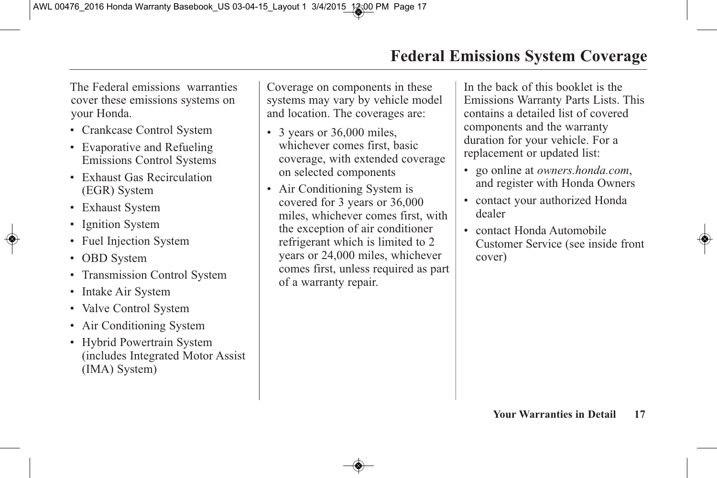The Federal emissions warranties cover these emissions systems on your Honda.

- Crankcase Control System
- Evaporative and Refueling Emissions Control Systems
- Exhaust Gas Recirculation (EGR) System
- Exhaust System
- Ignition System
- Fuel Injection System
- OBD System
- Transmission Control System
- Intake Air System
- Valve Control System
- Air Conditioning System
- Hybrid Powertrain System (includes Integrated Motor Assist (IMA) System)

Coverage on components in these systems may vary by vehicle model and location. The coverages are:

- 3 years or 36,000 miles, whichever comes first, basic coverage, with extended coverage on selected components
- Air Conditioning System is covered for 3 years or 36,000 miles, whichever comes first, with the exception of air conditioner refrigerant which is limited to 2 years or 24,000 miles, whichever comes first, unless required as part of a warranty repair.

In the back of this booklet is the Emissions Warranty Parts Lists. This contains a detailed list of covered components and the warranty duration for your vehicle. For a replacement or updated list:

- go online at *owners.honda.com*, and register with Honda Owners
- contact your authorized Honda dealer
- contact Honda Automobile Customer Service (see inside front cover)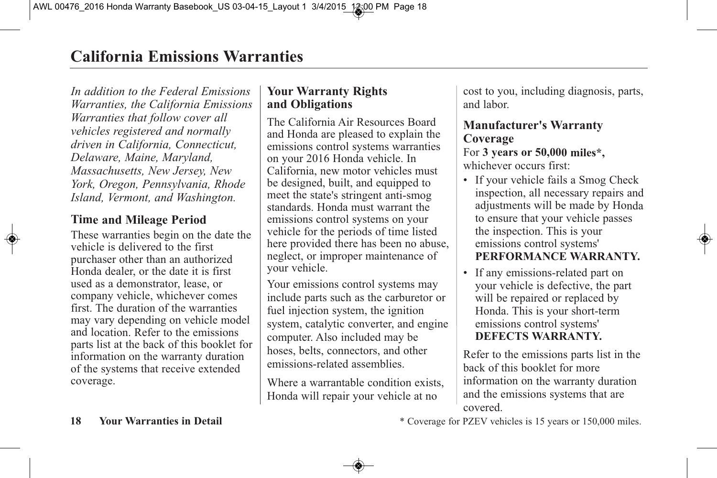*In addition to the Federal Emissions Warranties, the California Emissions Warranties that follow cover all vehicles registered and normally driven in California, Connecticut, Delaware, Maine, Maryland, Massachusetts, New Jersey, New York, Oregon, Pennsylvania, Rhode Island, Vermont, and Washington.*

#### **Time and Mileage Period**

These warranties begin on the date the vehicle is delivered to the first purchaser other than an authorized Honda dealer, or the date it is first used as <sup>a</sup> demonstrator, lease, or company vehicle, whichever comes first. The duration of the warranties may vary depending on vehicle model and location. Refer to the emissions parts list at the back of this booklet for information on the warranty duration of the systems that receive extended coverage.

#### **Your Warranty Rights and Obligations**

The California Air Resources Board and Honda are pleased to explain the emissions control systems warranties on your 2016 Honda vehicle. In California, new motor vehicles must be designed, built, and equipped to meet the state's stringent anti-smog standards. Honda must warrant the emissions control systems on your vehicle for the periods of time listed here provided there has been no abuse, neglect, or improper maintenance of your vehicle.

Your emissions control systems may include parts such as the carburetor or fuel injection system, the ignition system, catalytic converter, and engine computer. Also included may be hoses, belts, connectors, and other emissions-related assemblies.

Where <sup>a</sup> warrantable condition exists, Honda will repair your vehicle at no

cost to you, including diagnosis, parts, and labor.

# **Manufacturer's Warranty Coverage**

For **3 years or 50,000 miles\*,** whichever occurs first:

- If your vehicle fails <sup>a</sup> Smog Check inspection, all necessary repairs and adjustments will be made by Honda to ensure that your vehicle passes the inspection. This is your emissions control systems' **PERFORMANCE WARRANTY.**
- If any emissions-related par<sup>t</sup> on your vehicle is defective, the par<sup>t</sup> will be repaired or replaced by Honda. This is your short-term emissions control systems' **DEFECTS WARRANTY.**

Refer to the emissions parts list in the back of this booklet for more information on the warranty duration and the emissions systems that are covered.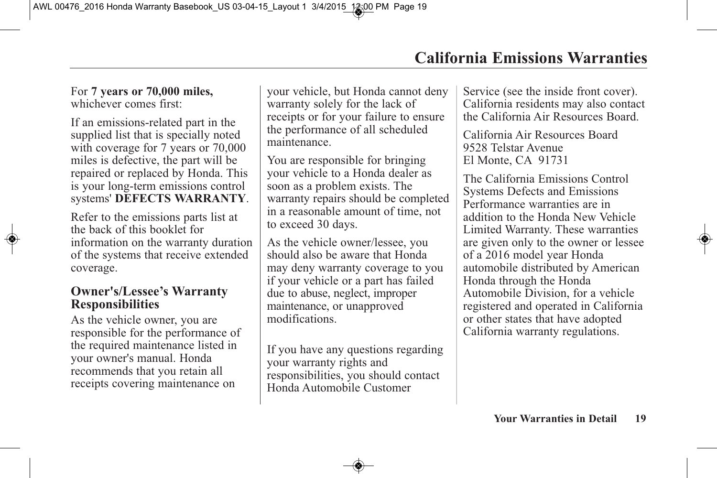For **7 years or 70,000 miles,** whichever comes first:

If an emissions-related part in the supplied list that is specially noted with coverage for 7 years or  $70,000$ miles is defective, the part will be repaired or replaced by Honda. This is your long-term emissions control systems' **DEFECTS WARRANTY**.

Refer to the emissions parts list at the back of this booklet for information on the warranty duration of the systems that receive extended coverage.

#### **Owner's/Lessee's Warranty Responsibilities**

As the vehicle owner, you are responsible for the performance of the required maintenance listed in your owner's manual. Honda recommends that you retain all receipts covering maintenance on

your vehicle, but Honda cannot deny warranty solely for the lack of receipts or for your failure to ensure the performance of all scheduled maintenance.

You are responsible for bringing your vehicle to a Honda dealer as soon as a problem exists. The warranty repairs should be completed in a reasonable amount of time, not to exceed 30 days.

As the vehicle owner/lessee, you should also be aware that Honda may deny warranty coverage to you if your vehicle or a part has failed due to abuse, neglect, improper maintenance, or unapproved modifications.

If you have any questions regarding your warranty rights and responsibilities, you should contact Honda Automobile Customer

Service (see the inside front cover). California residents may also contact the California Air Resources Board.

California Air Resources Board 9528 Telstar Avenue El Monte, CA 91731

The California Emissions Control Systems Defects and Emissions Performance warranties are in addition to the Honda New Vehicle Limited Warranty. These warranties are given only to the owner or lessee of a 2016 model year Honda automobile distributed by American Honda through the Honda Automobile Division, for a vehicle registered and operated in California or other states that have adopted California warranty regulations.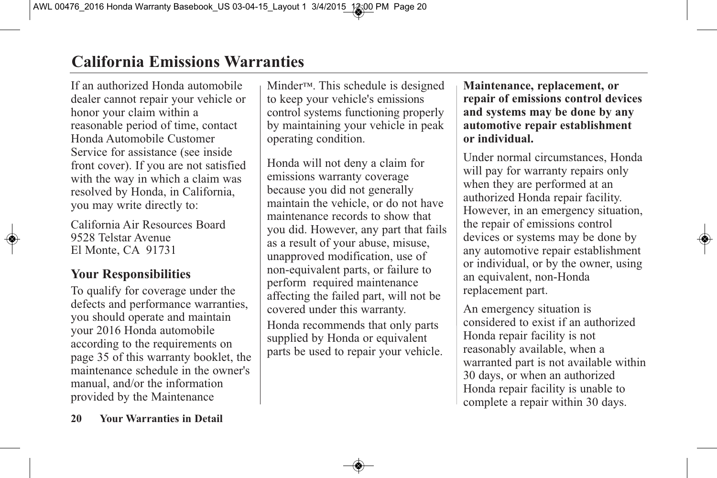# **California Emissions Warranties**

If an authorized Honda automobile dealer cannot repair your vehicle or honor your claim within a reasonable period of time, contact Honda Automobile Customer Service for assistance (see inside front cover). If you are not satisfied with the way in which a claim was resolved by Honda, in California, you may write directly to:

California Air Resources Board 9528 Telstar Avenue El Monte, CA 91731

# **Your Responsibilities**

To qualify for coverage under the defects and performance warranties, you should operate and maintain your 2016 Honda automobile according to the requirements on page 35 of this warranty booklet, the maintenance schedule in the owner's manual, and/or the information provided by the Maintenance

Minder™. This schedule is designed to keep your vehicle's emissions control systems functioning properly by maintaining your vehicle in peak operating condition.

Honda will not deny a claim for emissions warranty coverage because you did not generally maintain the vehicle, or do not have maintenance records to show that you did. However, any part that fails as a result of your abuse, misuse, unapproved modification, use of non-equivalent parts, or failure to perform required maintenance affecting the failed part, will not be covered under this warranty. Honda recommends that only parts supplied by Honda or equivalent parts be used to repair your vehicle.

**Maintenance, replacement, or repair of emissions control devices and systems may be done by any automotive repair establishment or individual.**

Under normal circumstances, Honda will pay for warranty repairs only when they are performed at an authorized Honda repair facility. However, in an emergency situation, the repair of emissions control devices or systems may be done by any automotive repair establishment or individual, or by the owner, using an equivalent, non-Honda replacement part.

An emergency situation is considered to exist if an authorized Honda repair facility is not reasonably available, when a warranted part is not available within 30 days, or when an authorized Honda repair facility is unable to complete a repair within 30 days.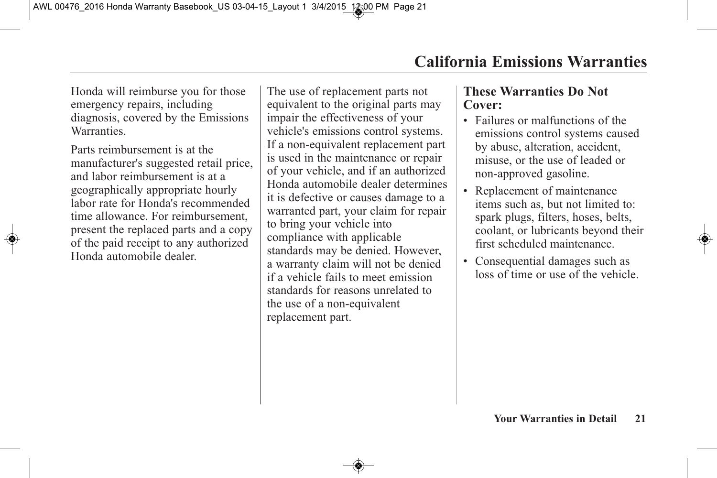Honda will reimburse you for those emergency repairs, including diagnosis, covered by the Emissions **Warranties** 

Parts reimbursement is at the manufacturer's suggested retail price, and labor reimbursement is at a geographically appropriate hourly labor rate for Honda's recommended time allowance. For reimbursement present the replaced parts and a copy of the paid receipt to any authorized Honda automobile dealer.

The use of replacement parts not equivalent to the original parts may impair the effectiveness of your vehicle's emissions control systems. If a non-equivalent replacement part is used in the maintenance or repair of your vehicle, and if an authorized Honda automobile dealer determines it is defective or causes damage to a warranted part, your claim for repair to bring your vehicle into compliance with applicable standards may be denied. However, a warranty claim will not be denied if a vehicle fails to meet emission standards for reasons unrelated to the use of a non-equivalent replacement part.

#### **These Warranties Do Not Cover:**

- Failures or malfunctions of the emissions control systems caused by abuse, alteration, accident, misuse, or the use of leaded or non-approved gasoline.
- Replacement of maintenance items such as, but not limited to: spark plugs, filters, hoses, belts, coolant, or lubricants beyond their first scheduled maintenance.
- Consequential damages such as loss of time or use of the vehicle.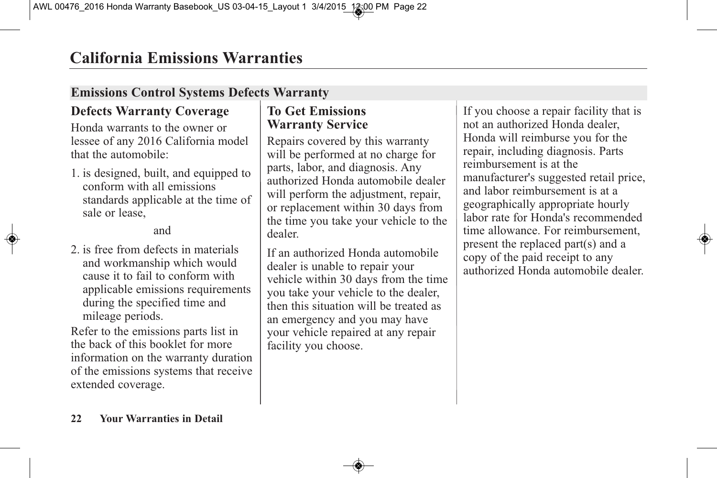# **Emissions Control Systems Defects Warranty**

# **Defects Warranty Coverage**

Honda warrants to the owner or lessee of any 2016 California model that the automobile:

1. is designed, built, and equipped to conform with all emissions standards applicable at the time of sale or lease,

#### and

2. is free from defects in materials and workmanship which would cause it to fail to conform with applicable emissions requirements during the specified time and mileage periods.

Refer to the emissions parts list in the back of this booklet for more information on the warranty duration of the emissions systems that receive extended coverage.

#### **To Get Emissions Warranty Service**

Repairs covered by this warranty will be performed at no charge for parts, labor, and diagnosis. Any authorized Honda automobile dealer will perform the adjustment, repair, or replacement within 30 days from the time you take your vehicle to the dealer.

If an authorized Honda automobile dealer is unable to repair your vehicle within 30 days from the time you take your vehicle to the dealer, then this situation will be treated as an emergency and you may have your vehicle repaired at any repair facility you choose.

If you choose a repair facility that is not an authorized Honda dealer, Honda will reimburse you for the repair, including diagnosis. Parts reimbursement is at the manufacturer's suggested retail price, and labor reimbursement is at a geographically appropriate hourly labor rate for Honda's recommended time allowance. For reimbursement, present the replaced part(s) and a copy of the paid receipt to any authorized Honda automobile dealer.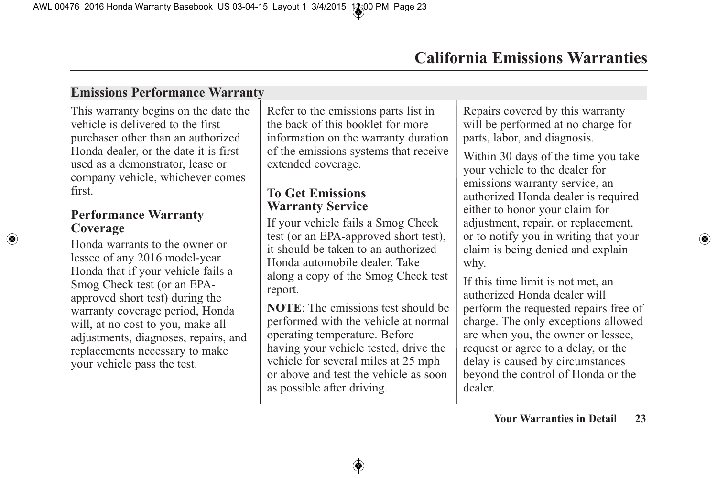# **Emissions Performance Warranty**

This warranty begins on the date the vehicle is delivered to the first purchaser other than an authorized Honda dealer, or the date it is first used as a demonstrator, lease or company vehicle, whichever comes first.

#### **Performance Warranty Coverage**

Honda warrants to the owner or lessee of any 2016 model-year Honda that if your vehicle fails a Smog Check test (or an EPAapproved short test) during the warranty coverage period, Honda will, at no cost to you, make all adjustments, diagnoses, repairs, and replacements necessary to make your vehicle pass the test.

Refer to the emissions parts list in the back of this booklet for more information on the warranty duration of the emissions systems that receive extended coverage.

#### **To Get Emissions Warranty Service**

If your vehicle fails a Smog Check test (or an EPA-approved short test), it should be taken to an authorized Honda automobile dealer. Take along a copy of the Smog Check test report.

**NOTE**: The emissions test should be performed with the vehicle at normal operating temperature. Before having your vehicle tested, drive the vehicle for several miles at 25 mph or above and test the vehicle as soon as possible after driving.

Repairs covered by this warranty will be performed at no charge for parts, labor, and diagnosis.

Within 30 days of the time you take your vehicle to the dealer for emissions warranty service, an authorized Honda dealer is required either to honor your claim for adjustment, repair, or replacement, or to notify you in writing that your claim is being denied and explain why.

If this time limit is not met, an authorized Honda dealer will perform the requested repairs free of charge. The only exceptions allowed are when you, the owner or lessee, request or agree to a delay, or the delay is caused by circumstances beyond the control of Honda or the dealer.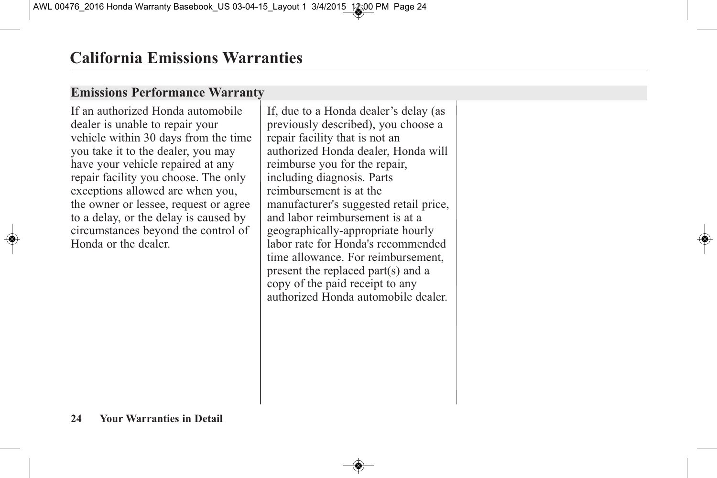### **Emissions Performance Warranty**

If an authorized Honda automobile dealer is unable to repair your vehicle within 30 days from the time you take it to the dealer, you may have your vehicle repaired at any repair facility you choose. The only exceptions allowed are when you, the owner or lessee, request or agree to a delay, or the delay is caused by circumstances beyond the control of Honda or the dealer.

If, due to a Honda dealer's delay (as previously described), you choose a repair facility that is not an authorized Honda dealer, Honda will reimburse you for the repair, including diagnosis. Parts reimbursement is at the manufacturer's suggested retail price, and labor reimbursement is at a geographically-appropriate hourly labor rate for Honda's recommended time allowance. For reimbursement, present the replaced part(s) and a copy of the paid receipt to any authorized Honda automobile dealer.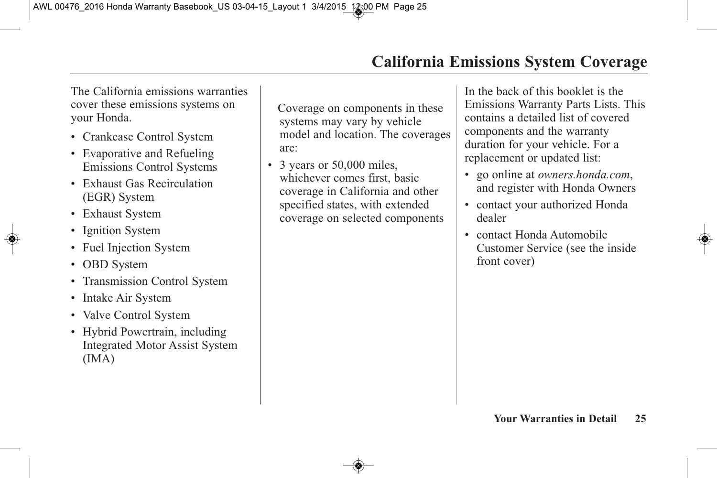The California emissions warranties cover these emissions systems on your Honda.

- Crankcase Control System
- Evaporative and Refueling Emissions Control Systems
- Exhaust Gas Recirculation (EGR) System
- Exhaust System
- Ignition System
- Fuel Injection System
- OBD System
- Transmission Control System
- Intake Air System
- Valve Control System
- Hybrid Powertrain, including Integrated Motor Assist System (IMA)

Coverage on components in these systems may vary by vehicle model and location. The coverages are:

• 3 years or 50,000 miles, whichever comes first, basic coverage in California and other specified states, with extended coverage on selected components In the back of this booklet is the Emissions Warranty Parts Lists. This contains a detailed list of covered components and the warranty duration for your vehicle. For a replacement or updated list:

- go online at *owners.honda.com*, and register with Honda Owners
- contact your authorized Honda dealer
- contact Honda Automobile Customer Service (see the inside front cover)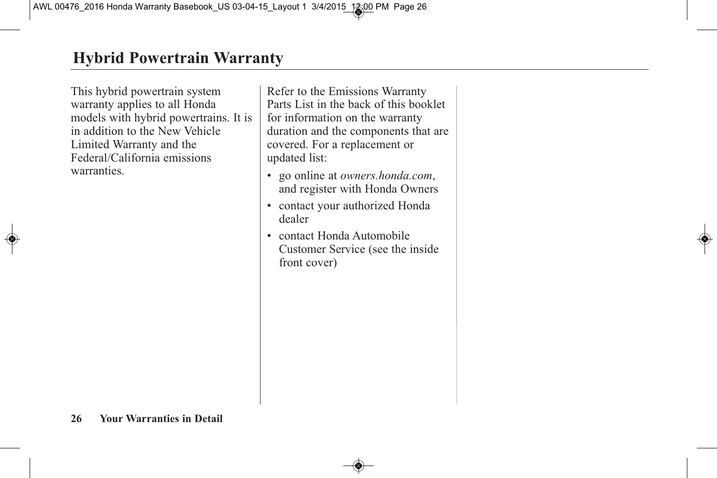This hybrid powertrain system warranty applies to all Honda models with hybrid powertrains. It is in addition to the New Vehicle Limited Warranty and the Federal/California emissions warranties.

Refer to the Emissions Warranty Parts List in the back of this booklet for information on the warranty duration and the components that are covered. For a replacement or updated list:

- go online at *owners.honda.com*, and register with Honda Owners
- contact your authorized Honda dealer
- contact Honda Automobile Customer Service (see the inside front cover)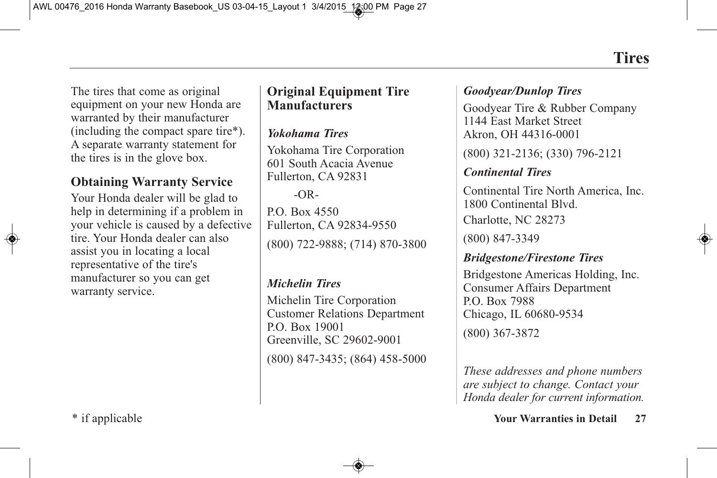The tires that come as original equipment on your new Honda are warranted by their manufacturer (including the compact spare tire\*). A separate warranty statement for the tires is in the glove box.

# **Obtaining Warranty Service**

Your Honda dealer will be glad to help in determining if a problem in your vehicle is caused by a defective tire. Your Honda dealer can also assist you in locating a local representative of the tire's manufacturer so you can get warranty service.

# **Original Equipment Tire Manufacturers**

#### *Yokohama Tires*

Yokohama Tire Corporation 601 South Acacia Avenue Fullerton, CA 92831

#### $-OR-$

P.O. Box 4550 Fullerton, CA 92834-9550 (800) 722-9888; (714) 870-3800

#### *Michelin Tires*

Michelin Tire Corporation Customer Relations Department P.O. Box 19001 Greenville, SC 29602-9001 (800) 847-3435; (864) 458-5000

#### *Goodyear/Dunlop Tires*

Goodyear Tire & Rubber Company 1144 East Market Street Akron, OH 44316-0001

(800) 321-2136; (330) 796-2121

#### *Continental Tires*

Continental Tire North America, Inc. 1800 Continental Blvd. Charlotte, NC 28273

(800) 847-3349

#### *Bridgestone/Firestone Tires*

Bridgestone Americas Holding, Inc. Consumer Affairs Department P.O. Box 7988 Chicago, IL 60680-9534 (800) 367-3872

*These addresses and phone numbers are subject to change. Contact your Honda dealer for current information.*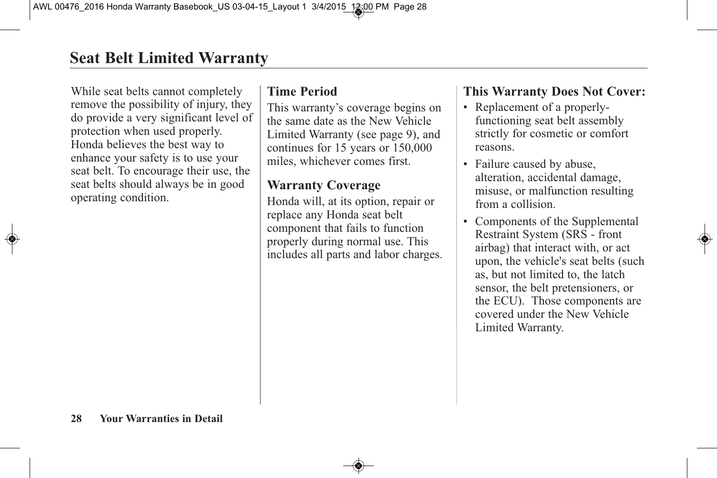While seat belts cannot completely remove the possibility of injury, they do provide a very significant level of protection when used properly. Honda believes the best way to enhance your safety is to use your seat belt. To encourage their use, the seat belts should always be in good operating condition.

# **Time Period**

This warranty's coverage begins on the same date as the New Vehicle Limited Warranty (see page 9), and continues for 15 years or 150,000 miles, whichever comes first.

# **Warranty Coverage**

Honda will, at its option, repair or replace any Honda seat belt component that fails to function properly during normal use. This includes all parts and labor charges.

# **This Warranty Does Not Cover:**

- Replacement of a properlyfunctioning seat belt assembly strictly for cosmetic or comfort reasons.
- Failure caused by abuse, alteration, accidental damage, misuse, or malfunction resulting from a collision.
- Components of the Supplemental Restraint System (SRS - front airbag) that interact with, or act upon, the vehicle's seat belts (such as, but not limited to, the latch sensor, the belt pretensioners, or the ECU). Those components are covered under the New Vehicle Limited Warranty.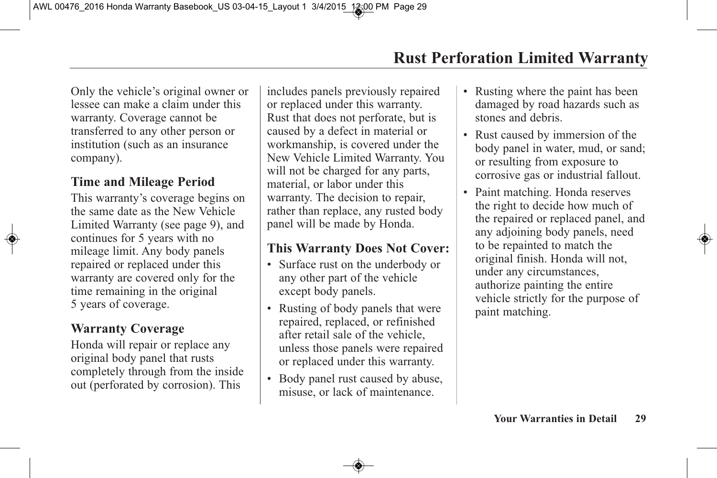Only the vehicle's original owner or lessee can make a claim under this warranty. Coverage cannot be transferred to any other person or institution (such as an insurance company).

### **Time and Mileage Period**

This warranty's coverage begins on the same date as the New Vehicle Limited Warranty (see page 9), and continues for 5 years with no mileage limit. Any body panels repaired or replaced under this warranty are covered only for the time remaining in the original 5 years of coverage.

# **Warranty Coverage**

Honda will repair or replace any original body panel that rusts completely through from the inside out (perforated by corrosion). This

includes panels previously repaired or replaced under this warranty. Rust that does not perforate, but is caused by a defect in material or workmanship, is covered under the New Vehicle Limited Warranty. You will not be charged for any parts, material, or labor under this warranty. The decision to repair, rather than replace, any rusted body panel will be made by Honda.

# **This Warranty Does Not Cover:**

- Surface rust on the underbody or any other part of the vehicle except body panels.
- Rusting of body panels that were repaired, replaced, or refinished after retail sale of the vehicle, unless those panels were repaired or replaced under this warranty.
- Body panel rust caused by abuse, misuse, or lack of maintenance.
- Rusting where the paint has been damaged by road hazards such as stones and debris.
- Rust caused by immersion of the body panel in water, mud, or sand; or resulting from exposure to corrosive gas or industrial fallout.
- Paint matching. Honda reserves the right to decide how much of the repaired or replaced panel, and any adjoining body panels, need to be repainted to match the original finish. Honda will not, under any circumstances, authorize painting the entire vehicle strictly for the purpose of paint matching.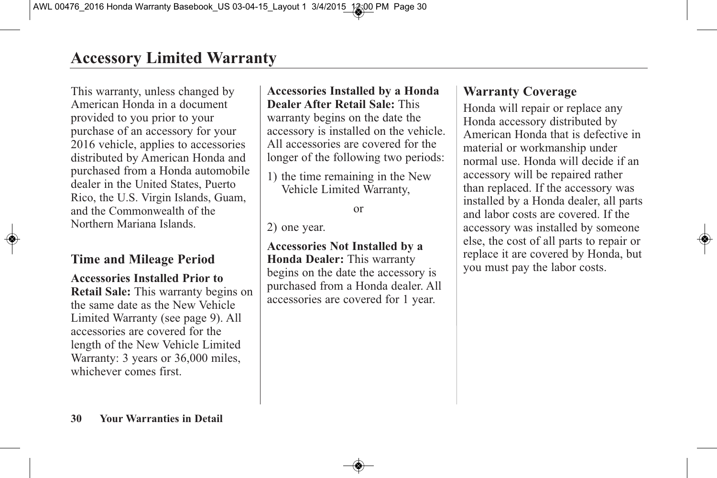This warranty, unless changed by American Honda in a document provided to you prior to your purchase of an accessory for your 2016 vehicle, applies to accessories distributed by American Honda and purchased from a Honda automobile dealer in the United States, Puerto Rico, the U.S. Virgin Islands, Guam, and the Commonwealth of the Northern Mariana Islands.

# **Time and Mileage Period**

#### **Accessories Installed Prior to**

**Retail Sale:** This warranty begins on the same date as the New Vehicle Limited Warranty (see page 9). All accessories are covered for the length of the New Vehicle Limited Warranty: 3 years or 36,000 miles, whichever comes first.

# **Accessories Installed by a Honda Dealer After Retail Sale:** This

warranty begins on the date the accessory is installed on the vehicle. All accessories are covered for the longer of the following two periods:

1) the time remaining in the New Vehicle Limited Warranty,

or

2) one year.

**Accessories Not Installed by a Honda Dealer:** This warranty begins on the date the accessory is purchased from a Honda dealer. All accessories are covered for 1 year.

# **Warranty Coverage**

Honda will repair or replace any Honda accessory distributed by American Honda that is defective in material or workmanship under normal use. Honda will decide if an accessory will be repaired rather than replaced. If the accessory was installed by a Honda dealer, all parts and labor costs are covered. If the accessory was installed by someone else, the cost of all parts to repair or replace it are covered by Honda, but you must pay the labor costs.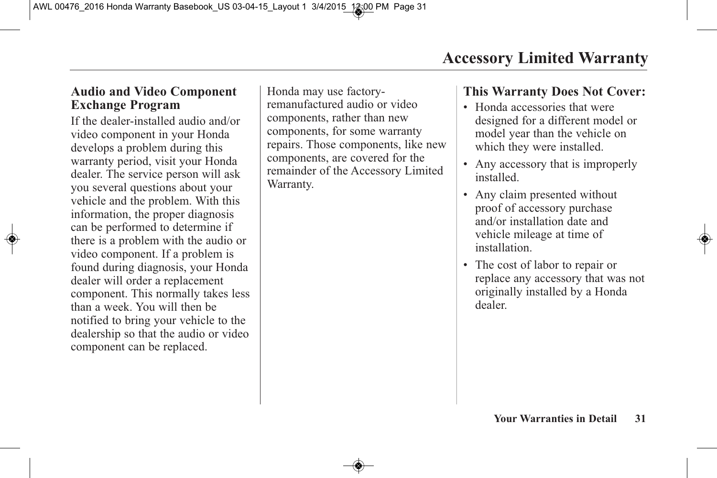# **Audio and Video Component Exchange Program**

If the dealer-installed audio and/or video component in your Honda develops a problem during this warranty period, visit your Honda dealer. The service person will ask you several questions about your vehicle and the problem. With this information, the proper diagnosis can be performed to determine if there is a problem with the audio or video component. If a problem is found during diagnosis, your Honda dealer will order a replacement component. This normally takes less than a week. You will then be notified to bring your vehicle to the dealership so that the audio or video component can be replaced.

Honda may use factoryremanufactured audio or video components, rather than new components, for some warranty repairs. Those components, like new components, are covered for the remainder of the Accessory Limited Warranty.

# **This Warranty Does Not Cover:**

- Honda accessories that were designed for a different model or model year than the vehicle on which they were installed.
- Any accessory that is improperly installed.
- Any claim presented without proof of accessory purchase and/or installation date and vehicle mileage at time of installation.
- The cost of labor to repair or replace any accessory that was not originally installed by a Honda dealer.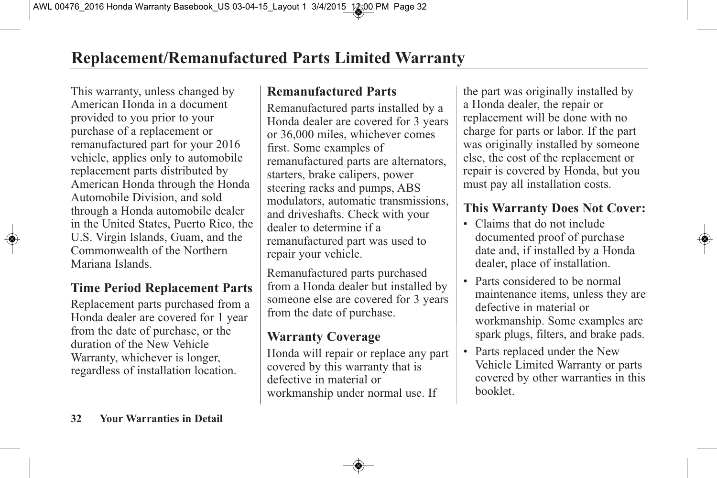This warranty, unless changed by American Honda in a document provided to you prior to your purchase of a replacement or remanufactured part for your 2016 vehicle, applies only to automobile replacement parts distributed by American Honda through the Honda Automobile Division, and sold through a Honda automobile dealer in the United States, Puerto Rico, the U.S. Virgin Islands, Guam, and the Commonwealth of the Northern Mariana Islands.

# **Time Period Replacement Parts**

Replacement parts purchased from a Honda dealer are covered for 1 year from the date of purchase, or the duration of the New Vehicle Warranty, whichever is longer, regardless of installation location.

#### **Remanufactured Parts**

Remanufactured parts installed by a Honda dealer are covered for 3 years or 36,000 miles, whichever comes first. Some examples of remanufactured parts are alternators, starters, brake calipers, power steering racks and pumps, ABS modulators, automatic transmissions, and driveshafts. Check with your dealer to determine if a remanufactured part was used to repair your vehicle.

Remanufactured parts purchased from a Honda dealer but installed by someone else are covered for 3 years from the date of purchase.

# **Warranty Coverage**

Honda will repair or replace any part covered by this warranty that is defective in material or workmanship under normal use. If

the part was originally installed by a Honda dealer, the repair or replacement will be done with no charge for parts or labor. If the part was originally installed by someone else, the cost of the replacement or repair is covered by Honda, but you must pay all installation costs.

# **This Warranty Does Not Cover:**

- Claims that do not include documented proof of purchase date and, if installed by a Honda dealer, place of installation.
- Parts considered to be normal maintenance items, unless they are defective in material or workmanship. Some examples are spark plugs, filters, and brake pads.
- Parts replaced under the New Vehicle Limited Warranty or parts covered by other warranties in this booklet.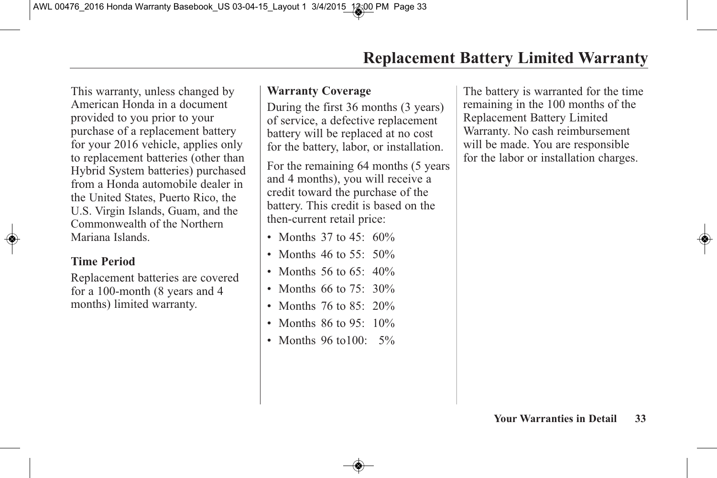This warranty, unless changed by American Honda in a document provided to you prior to your purchase of a replacement battery for your 2016 vehicle, applies only to replacement batteries (other than Hybrid System batteries) purchased from a Honda automobile dealer in the United States, Puerto Rico, the U.S. Virgin Islands, Guam, and the Commonwealth of the Northern Mariana Islands.

#### **Time Period**

Replacement batteries are covered for a 100-month (8 years and 4 months) limited warranty.

#### **Warranty Coverage**

During the first 36 months (3 years) of service, a defective replacement battery will be replaced at no cost for the battery, labor, or installation.

For the remaining 64 months (5 years and 4 months), you will receive a credit toward the purchase of the battery. This credit is based on the then-current retail price:

- Months 37 to  $45:60\%$
- Months 46 to 55: 50%
- Months 56 to 65:  $40\%$
- Months 66 to 75: 30%
- Months 76 to 85: 20%
- Months  $86$  to  $95 \cdot 10\%$
- Months 96 to 100: 5%

The battery is warranted for the time remaining in the 100 months of the Replacement Battery Limited Warranty. No cash reimbursement will be made. You are responsible for the labor or installation charges.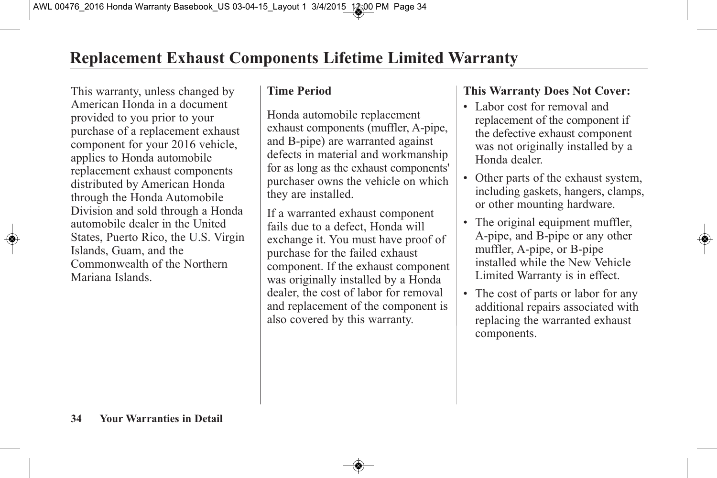This warranty, unless changed by American Honda in a document provided to you prior to your purchase of a replacement exhaust component for your 2016 vehicle, applies to Honda automobile replacement exhaust components distributed by American Honda through the Honda Automobile Division and sold through a Honda automobile dealer in the United States, Puerto Rico, the U.S. Virgin Islands, Guam, and the Commonwealth of the Northern Mariana Islands.

#### **Time Period**

Honda automobile replacement exhaust components (muffler, A-pipe, and B-pipe) are warranted against defects in material and workmanship for as long as the exhaust components' purchaser owns the vehicle on which they are installed.

If a warranted exhaust component fails due to a defect, Honda will exchange it. You must have proof of purchase for the failed exhaust component. If the exhaust component was originally installed by a Honda dealer, the cost of labor for removal and replacement of the component is also covered by this warranty.

# **This Warranty Does Not Cover:**

- Labor cost for removal and replacement of the component if the defective exhaust component was not originally installed by a Honda dealer.
- Other parts of the exhaust system, including gaskets, hangers, clamps, or other mounting hardware.
- The original equipment muffler, A-pipe, and B-pipe or any other muffler, A-pipe, or B-pipe installed while the New Vehicle Limited Warranty is in effect.
- The cost of parts or labor for any additional repairs associated with replacing the warranted exhaust components.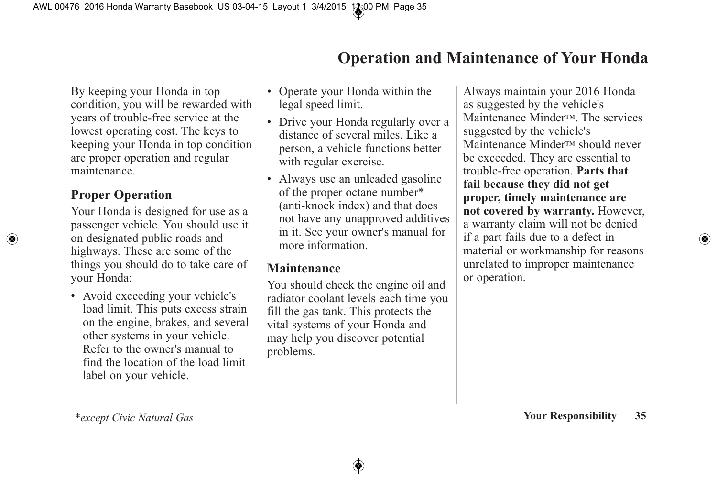By keeping your Honda in top condition, you will be rewarded with years of trouble-free service at the lowest operating cost. The keys to keeping your Honda in top condition are proper operation and regular maintenance.

#### **Proper Operation**

Your Honda is designed for use as a passenger vehicle. You should use it on designated public roads and highways. These are some of the things you should do to take care of your Honda:

• Avoid exceeding your vehicle's load limit. This puts excess strain on the engine, brakes, and several other systems in your vehicle. Refer to the owner's manual to find the location of the load limit label on your vehicle.

- Operate your Honda within the legal speed limit.
- Drive your Honda regularly over a distance of several miles. Like a person, a vehicle functions better with regular exercise.
- Always use an unleaded gasoline of the proper octane number\* (anti-knock index) and that does not have any unapproved additives in it. See your owner's manual for more information.

#### **Maintenance**

You should check the engine oil and radiator coolant levels each time you fill the gas tank. This protects the vital systems of your Honda and may help you discover potential problems.

Always maintain your 2016 Honda as suggested by the vehicle's Maintenance Minder™. The services suggested by the vehicle's Maintenance Minder™ should never be exceeded. They are essential to trouble-free operation. **Parts that fail because they did not get proper, timely maintenance are not covered by warranty.** However, a warranty claim will not be denied if a part fails due to a defect in material or workmanship for reasons unrelated to improper maintenance or operation.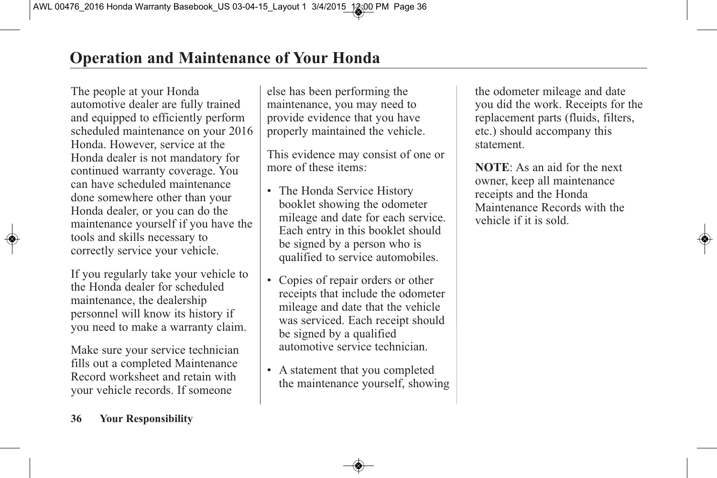The people at your Honda automotive dealer are fully trained and equipped to efficiently perform scheduled maintenance on your 2016 Honda. However, service at the Honda dealer is not mandatory for continued warranty coverage. You can have scheduled maintenance done somewhere other than your Honda dealer, or you can do the maintenance yourself if you have the tools and skills necessary to correctly service your vehicle.

If you regularly take your vehicle to the Honda dealer for scheduled maintenance, the dealership personnel will know its history if you need to make a warranty claim.

Make sure your service technician fills out a completed Maintenance Record worksheet and retain with your vehicle records. If someone

else has been performing the maintenance, you may need to provide evidence that you have properly maintained the vehicle.

This evidence may consist of one or more of these items:

- The Honda Service History booklet showing the odometer mileage and date for each service. Each entry in this booklet should be signed by a person who is qualified to service automobiles.
- Copies of repair orders or other receipts that include the odometer mileage and date that the vehicle was serviced. Each receipt should be signed by a qualified automotive service technician.
- A statement that you completed the maintenance yourself, showing

the odometer mileage and date you did the work. Receipts for the replacement parts (fluids, filters, etc.) should accompany this statement.

**NOTE**: As an aid for the next owner, keep all maintenance receipts and the Honda Maintenance Records with the vehicle if it is sold.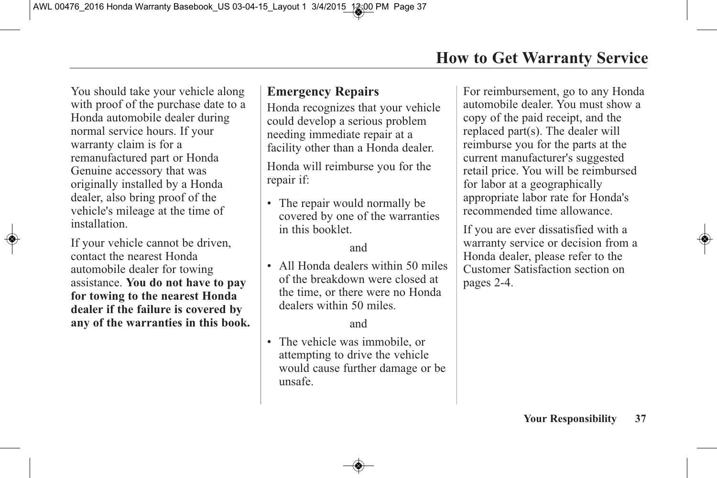You should take your vehicle along with proof of the purchase date to a Honda automobile dealer during normal service hours. If your warranty claim is for a remanufactured part or Honda Genuine accessory that was originally installed by a Honda dealer, also bring proof of the vehicle's mileage at the time of installation.

If your vehicle cannot be driven, contact the nearest Honda automobile dealer for towing assistance. **You do not have to pay for towing to the nearest Honda dealer if the failure is covered by any of the warranties in this book.**

# **Emergency Repairs**

Honda recognizes that your vehicle could develop a serious problem needing immediate repair at a facility other than a Honda dealer.

Honda will reimburse you for the repair if:

• The repair would normally be covered by one of the warranties in this booklet.

#### and

• All Honda dealers within 50 miles of the breakdown were closed at the time, or there were no Honda dealers within 50 miles.

#### and

• The vehicle was immobile, or attempting to drive the vehicle would cause further damage or be unsafe.

For reimbursement, go to any Honda automobile dealer. You must show a copy of the paid receipt, and the replaced part(s). The dealer will reimburse you for the parts at the current manufacturer's suggested retail price. You will be reimbursed for labor at a geographically appropriate labor rate for Honda's recommended time allowance.

If you are ever dissatisfied with a warranty service or decision from a Honda dealer, please refer to the Customer Satisfaction section on pages 2-4.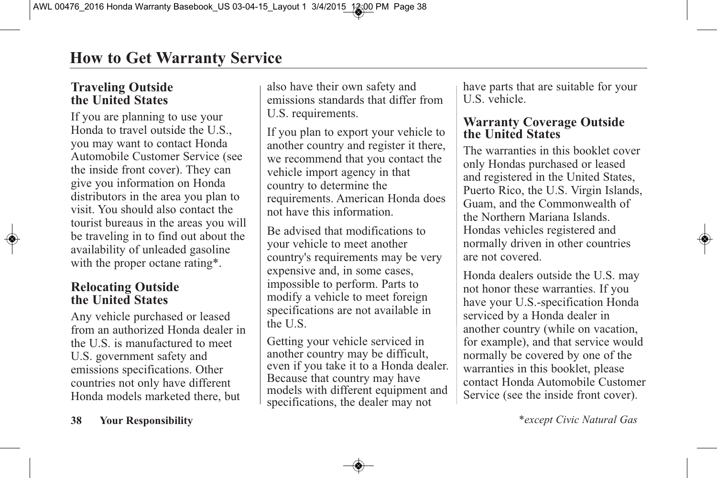# **Traveling Outside the United States**

If you are planning to use your Honda to travel outside the U.S., you may want to contact Honda Automobile Customer Service (see the inside front cover). They can give you information on Honda distributors in the area you plan to visit. You should also contact the tourist bureaus in the areas you will be traveling in to find out about the availability of unleaded gasoline with the proper octane rating\*.

### **Relocating Outside the United States**

Any vehicle purchased or leased from an authorized Honda dealer in the U.S. is manufactured to meet U.S. government safety and emissions specifications. Other countries not only have different Honda models marketed there, but

also have their own safety and emissions standards that differ from U.S. requirements.

If you plan to export your vehicle to another country and register it there, we recommend that you contact the vehicle import agency in that country to determine the requirements. American Honda does not have this information.

Be advised that modifications to your vehicle to meet another country's requirements may be very expensive and, in some cases, impossible to perform. Parts to modify a vehicle to meet foreign specifications are not available in the U.S.

Getting your vehicle serviced in another country may be difficult, even if you take it to <sup>a</sup> Honda dealer. Because that country may have models with different equipment and specifications, the dealer may not

have parts that are suitable for your U.S. vehicle.

#### **Warranty Coverage Outside the United States**

The warranties in this booklet cover only Hondas purchased or leased and registered in the United States, Puerto Rico, the U.S. Virgin Islands, Guam, and the Commonwealth of the Northern Mariana Islands. Hondas vehicles registered and normally driven in other countries are not covered.

Honda dealers outside the U.S. may not honor these warranties. If you have your U.S.-specification Honda serviced by a Honda dealer in another country (while on vacation, for example), and that service would normally be covered by one of the warranties in this booklet, please contact Honda Automobile Customer Service (see the inside front cover).